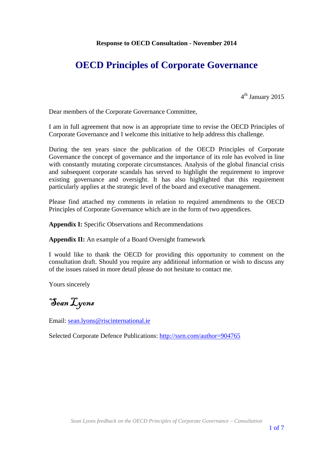# **OECD Principles of Corporate Governance**

 $4<sup>th</sup>$  January 2015

Dear members of the Corporate Governance Committee,

I am in full agreement that now is an appropriate time to revise the OECD Principles of Corporate Governance and I welcome this initiative to help address this challenge.

During the ten years since the publication of the OECD Principles of Corporate Governance the concept of governance and the importance of its role has evolved in line with constantly mutating corporate circumstances. Analysis of the global financial crisis and subsequent corporate scandals has served to highlight the requirement to improve existing governance and oversight. It has also highlighted that this requirement particularly applies at the strategic level of the board and executive management.

Please find attached my comments in relation to required amendments to the OECD Principles of Corporate Governance which are in the form of two appendices.

**Appendix I:** Specific Observations and Recommendations

**Appendix II:** An example of a Board Oversight framework

I would like to thank the OECD for providing this opportunity to comment on the consultation draft. Should you require any additional information or wish to discuss any of the issues raised in more detail please do not hesitate to contact me.

Yours sincerely

Sean Lyons

Email: sean.lyons@riscinternational.ie

Selected Corporate Defence Publications: http://ssrn.com/author=904765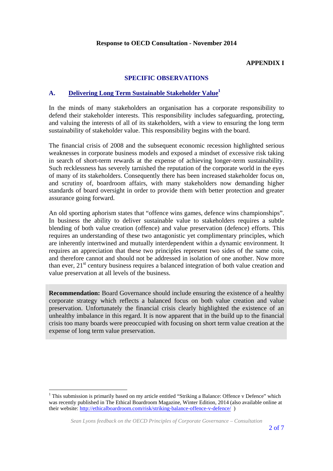#### **APPENDIX I**

# **SPECIFIC OBSERVATIONS**

#### **A. Delivering Long Term Sustainable Stakeholder Value1**

In the minds of many stakeholders an organisation has a corporate responsibility to defend their stakeholder interests. This responsibility includes safeguarding, protecting, and valuing the interests of all of its stakeholders, with a view to ensuring the long term sustainability of stakeholder value. This responsibility begins with the board.

The financial crisis of 2008 and the subsequent economic recession highlighted serious weaknesses in corporate business models and exposed a mindset of excessive risk taking in search of short-term rewards at the expense of achieving longer-term sustainability. Such recklessness has severely tarnished the reputation of the corporate world in the eyes of many of its stakeholders. Consequently there has been increased stakeholder focus on, and scrutiny of, boardroom affairs, with many stakeholders now demanding higher standards of board oversight in order to provide them with better protection and greater assurance going forward.

An old sporting aphorism states that "offence wins games, defence wins championships". In business the ability to deliver sustainable value to stakeholders requires a subtle blending of both value creation (offence) and value preservation (defence) efforts. This requires an understanding of these two antagonistic yet complimentary principles, which are inherently intertwined and mutually interdependent within a dynamic environment. It requires an appreciation that these two principles represent two sides of the same coin, and therefore cannot and should not be addressed in isolation of one another. Now more than ever,  $21<sup>st</sup>$  century business requires a balanced integration of both value creation and value preservation at all levels of the business.

**Recommendation:** Board Governance should include ensuring the existence of a healthy corporate strategy which reflects a balanced focus on both value creation and value preservation. Unfortunately the financial crisis clearly highlighted the existence of an unhealthy imbalance in this regard. It is now apparent that in the build up to the financial crisis too many boards were preoccupied with focusing on short term value creation at the expense of long term value preservation.

<sup>&</sup>lt;sup>1</sup> This submission is primarily based on my article entitled "Striking a Balance: Offence v Defence" which was recently published in The Ethical Boardroom Magazine, Winter Edition, 2014 (also available online at their website: http://ethicalboardroom.com/risk/striking-balance-offence-v-defence/ )

*Sean Lyons feedback on the OECD Principles of Corporate Governance – Consultation*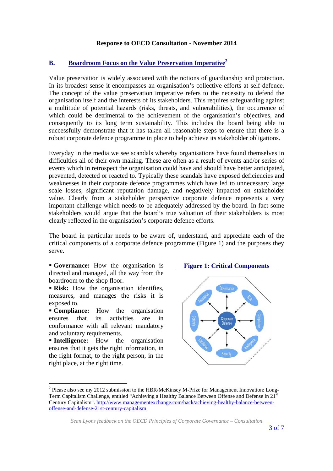# **B. Boardroom Focus on the Value Preservation Imperative<sup>2</sup>**

Value preservation is widely associated with the notions of guardianship and protection. In its broadest sense it encompasses an organisation's collective efforts at self-defence. The concept of the value preservation imperative refers to the necessity to defend the organisation itself and the interests of its stakeholders. This requires safeguarding against a multitude of potential hazards (risks, threats, and vulnerabilities), the occurrence of which could be detrimental to the achievement of the organisation's objectives, and consequently to its long term sustainability. This includes the board being able to successfully demonstrate that it has taken all reasonable steps to ensure that there is a robust corporate defence programme in place to help achieve its stakeholder obligations.

Everyday in the media we see scandals whereby organisations have found themselves in difficulties all of their own making. These are often as a result of events and/or series of events which in retrospect the organisation could have and should have better anticipated, prevented, detected or reacted to. Typically these scandals have exposed deficiencies and weaknesses in their corporate defence programmes which have led to unnecessary large scale losses, significant reputation damage, and negatively impacted on stakeholder value. Clearly from a stakeholder perspective corporate defence represents a very important challenge which needs to be adequately addressed by the board. In fact some stakeholders would argue that the board's true valuation of their stakeholders is most clearly reflected in the organisation's corporate defence efforts.

The board in particular needs to be aware of, understand, and appreciate each of the critical components of a corporate defence programme (Figure 1) and the purposes they serve.

 **Governance:** How the organisation is directed and managed, all the way from the boardroom to the shop floor.

**Risk:** How the organisation identifies, measures, and manages the risks it is exposed to.

**Compliance:** How the organisation ensures that its activities are in conformance with all relevant mandatory and voluntary requirements.

**Intelligence:** How the organisation ensures that it gets the right information, in the right format, to the right person, in the right place, at the right time.

#### **Figure 1: Critical Components**



 $2$  Please also see my 2012 submission to the HBR/McKinsey M-Prize for Management Innovation: Long-Term Capitalism Challenge, entitled "Achieving a Healthy Balance Between Offense and Defense in 21st Century Capitalism". http://www.managementexchange.com/hack/achieving-healthy-balance-betweenoffense-and-defense-21st-century-capitalism

*Sean Lyons feedback on the OECD Principles of Corporate Governance – Consultation*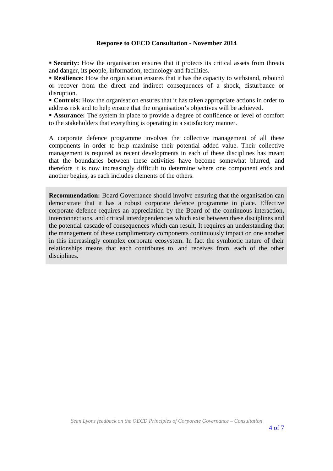**Security:** How the organisation ensures that it protects its critical assets from threats and danger, its people, information, technology and facilities.

**Resilience:** How the organisation ensures that it has the capacity to withstand, rebound or recover from the direct and indirect consequences of a shock, disturbance or disruption.

**Controls:** How the organisation ensures that it has taken appropriate actions in order to address risk and to help ensure that the organisation's objectives will be achieved.

**Assurance:** The system in place to provide a degree of confidence or level of comfort to the stakeholders that everything is operating in a satisfactory manner.

A corporate defence programme involves the collective management of all these components in order to help maximise their potential added value. Their collective management is required as recent developments in each of these disciplines has meant that the boundaries between these activities have become somewhat blurred, and therefore it is now increasingly difficult to determine where one component ends and another begins, as each includes elements of the others.

**Recommendation:** Board Governance should involve ensuring that the organisation can demonstrate that it has a robust corporate defence programme in place. Effective corporate defence requires an appreciation by the Board of the continuous interaction, interconnections, and critical interdependencies which exist between these disciplines and the potential cascade of consequences which can result. It requires an understanding that the management of these complimentary components continuously impact on one another in this increasingly complex corporate ecosystem. In fact the symbiotic nature of their relationships means that each contributes to, and receives from, each of the other disciplines.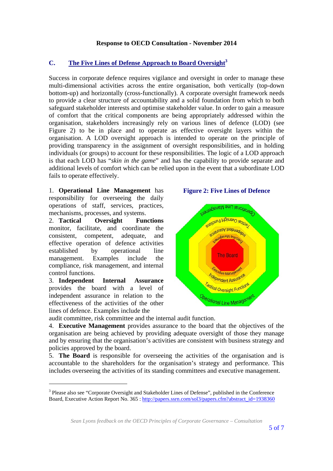# **C. The Five Lines of Defense Approach to Board Oversight3**

Success in corporate defence requires vigilance and oversight in order to manage these multi-dimensional activities across the entire organisation, both vertically (top-down bottom-up) and horizontally (cross-functionally). A corporate oversight framework needs to provide a clear structure of accountability and a solid foundation from which to both safeguard stakeholder interests and optimise stakeholder value. In order to gain a measure of comfort that the critical components are being appropriately addressed within the organisation, stakeholders increasingly rely on various lines of defence (LOD) (see Figure 2) to be in place and to operate as effective oversight layers within the organisation. A LOD oversight approach is intended to operate on the principle of providing transparency in the assignment of oversight responsibilities, and in holding individuals (or groups) to account for these responsibilities. The logic of a LOD approach is that each LOD has "*skin in the game*" and has the capability to provide separate and additional levels of comfort which can be relied upon in the event that a subordinate LOD fails to operate effectively.

1. **Operational Line Management** has responsibility for overseeing the daily operations of staff, services, practices, mechanisms, processes, and systems.

2. **Tactical Oversight Functions** monitor, facilitate, and coordinate the consistent, competent, adequate, and effective operation of defence activities established by operational line management. Examples include the compliance, risk management, and internal control functions.

3. **Independent Internal Assurance** provides the board with a level of independent assurance in relation to the effectiveness of the activities of the other lines of defence. Examples include the

l

**Figure 2: Five Lines of Defence** 



audit committee, risk committee and the internal audit function.

4. **Executive Management** provides assurance to the board that the objectives of the organisation are being achieved by providing adequate oversight of those they manage and by ensuring that the organisation's activities are consistent with business strategy and policies approved by the board.

5. **The Board** is responsible for overseeing the activities of the organisation and is accountable to the shareholders for the organisation's strategy and performance. This includes overseeing the activities of its standing committees and executive management.

<sup>&</sup>lt;sup>3</sup> Please also see "Corporate Oversight and Stakeholder Lines of Defense", published in the Conference Board, Executive Action Report No. 365 : http://papers.ssrn.com/sol3/papers.cfm?abstract\_id=1938360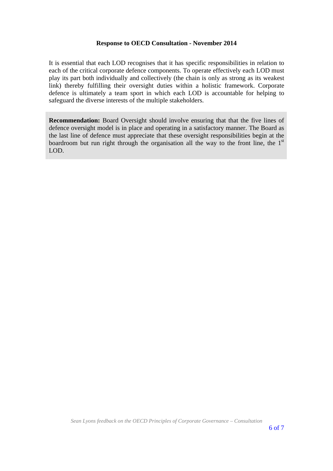It is essential that each LOD recognises that it has specific responsibilities in relation to each of the critical corporate defence components. To operate effectively each LOD must play its part both individually and collectively (the chain is only as strong as its weakest link) thereby fulfilling their oversight duties within a holistic framework. Corporate defence is ultimately a team sport in which each LOD is accountable for helping to safeguard the diverse interests of the multiple stakeholders.

**Recommendation:** Board Oversight should involve ensuring that that the five lines of defence oversight model is in place and operating in a satisfactory manner. The Board as the last line of defence must appreciate that these oversight responsibilities begin at the boardroom but run right through the organisation all the way to the front line, the  $1<sup>st</sup>$ LOD.